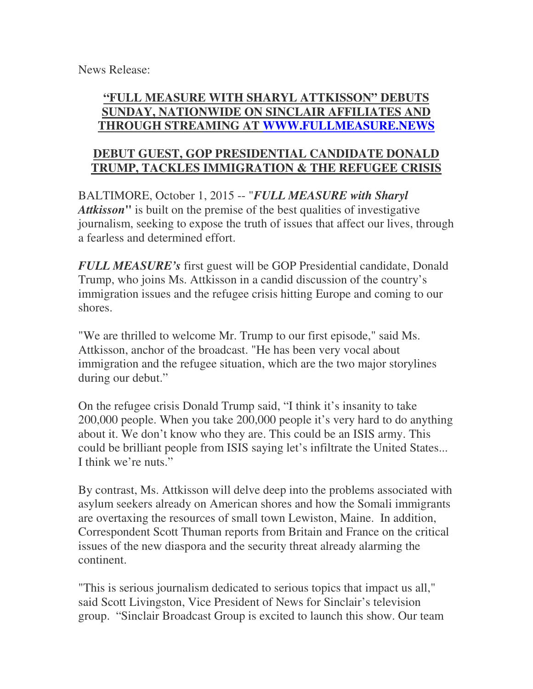News Release:

## **"FULL MEASURE WITH SHARYL ATTKISSON" DEBUTS SUNDAY, NATIONWIDE ON SINCLAIR AFFILIATES AND THROUGH STREAMING AT WWW.FULLMEASURE.NEWS**

## **DEBUT GUEST, GOP PRESIDENTIAL CANDIDATE DONALD TRUMP, TACKLES IMMIGRATION & THE REFUGEE CRISIS**

BALTIMORE, October 1, 2015 -- "*FULL MEASURE with Sharyl Attkisson***"** is built on the premise of the best qualities of investigative journalism, seeking to expose the truth of issues that affect our lives, through a fearless and determined effort.

*FULL MEASURE's* first guest will be GOP Presidential candidate, Donald Trump, who joins Ms. Attkisson in a candid discussion of the country's immigration issues and the refugee crisis hitting Europe and coming to our shores.

"We are thrilled to welcome Mr. Trump to our first episode," said Ms. Attkisson, anchor of the broadcast. "He has been very vocal about immigration and the refugee situation, which are the two major storylines during our debut."

On the refugee crisis Donald Trump said, "I think it's insanity to take 200,000 people. When you take 200,000 people it's very hard to do anything about it. We don't know who they are. This could be an ISIS army. This could be brilliant people from ISIS saying let's infiltrate the United States... I think we're nuts."

By contrast, Ms. Attkisson will delve deep into the problems associated with asylum seekers already on American shores and how the Somali immigrants are overtaxing the resources of small town Lewiston, Maine. In addition, Correspondent Scott Thuman reports from Britain and France on the critical issues of the new diaspora and the security threat already alarming the continent.

"This is serious journalism dedicated to serious topics that impact us all," said Scott Livingston, Vice President of News for Sinclair's television group. "Sinclair Broadcast Group is excited to launch this show. Our team